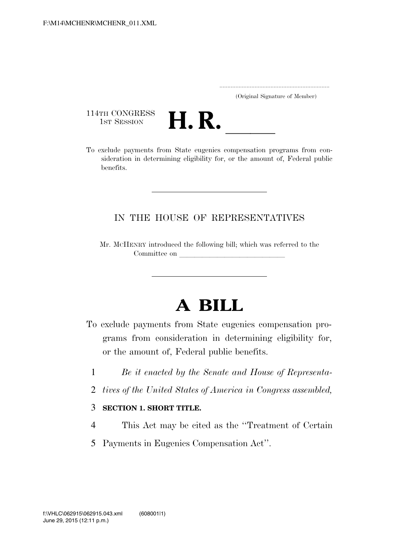..................................................................... (Original Signature of Member)

114TH CONGRESS<br>1st Session



114TH CONGRESS<br>1st SESSION **H. R.** <u>International programs</u> from con-<br>To exclude payments from State eugenics compensation programs from consideration in determining eligibility for, or the amount of, Federal public benefits.

## IN THE HOUSE OF REPRESENTATIVES

Mr. MCHENRY introduced the following bill; which was referred to the Committee on

## **A BILL**

- To exclude payments from State eugenics compensation programs from consideration in determining eligibility for, or the amount of, Federal public benefits.
	- 1 *Be it enacted by the Senate and House of Representa-*
	- 2 *tives of the United States of America in Congress assembled,*

## 3 **SECTION 1. SHORT TITLE.**

- 4 This Act may be cited as the ''Treatment of Certain
- 5 Payments in Eugenics Compensation Act''.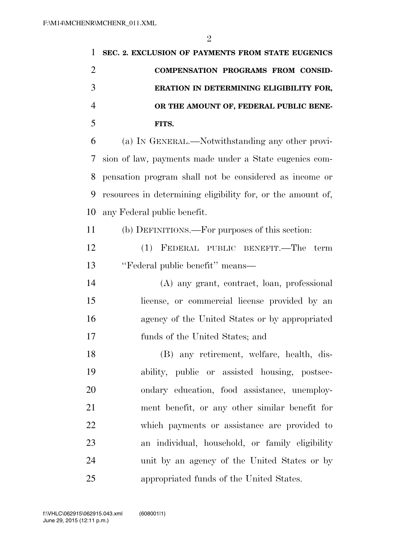| 1              | SEC. 2. EXCLUSION OF PAYMENTS FROM STATE EUGENICS           |
|----------------|-------------------------------------------------------------|
| $\overline{2}$ | COMPENSATION PROGRAMS FROM CONSID-                          |
| 3              | ERATION IN DETERMINING ELIGIBILITY FOR,                     |
| $\overline{4}$ | OR THE AMOUNT OF, FEDERAL PUBLIC BENE-                      |
| 5              | FITS.                                                       |
| 6              | (a) IN GENERAL.—Notwithstanding any other provi-            |
| 7              | sion of law, payments made under a State eugenies com-      |
| 8              | pensation program shall not be considered as income or      |
| 9              | resources in determining eligibility for, or the amount of, |
| 10             | any Federal public benefit.                                 |
| 11             | (b) DEFINITIONS.—For purposes of this section:              |
| 12             | (1) FEDERAL PUBLIC BENEFIT.—The term                        |
| 13             | "Federal public benefit" means—                             |
| 14             | (A) any grant, contract, loan, professional                 |
| 15             | license, or commercial license provided by an               |
| 16             | agency of the United States or by appropriated              |
| 17             | funds of the United States; and                             |
| 18             | (B) any retirement, welfare, health, dis-                   |
| 19             | ability, public or assisted housing, postsec-               |
| 20             | ondary education, food assistance, unemploy-                |
| 21             | ment benefit, or any other similar benefit for              |
| 22             | which payments or assistance are provided to                |
| 23             | an individual, household, or family eligibility             |
| 24             | unit by an agency of the United States or by                |
| 25             | appropriated funds of the United States.                    |